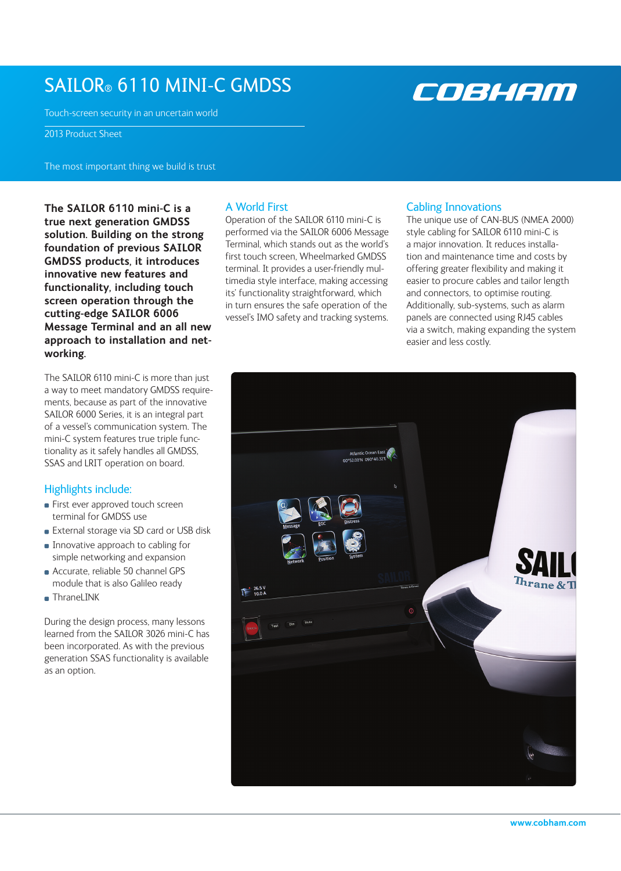# SAILOR® 6110 MINI-C GMDSS

Touch-screen security in an uncertain world

2013 Product Sheet

The most important thing we build is trust

**The SAILOR 6110 mini-C is a true next generation GMDSS solution. Building on the strong foundation of previous SAILOR GMDSS products, it introduces innovative new features and functionality, including touch screen operation through the cutting-edge SAILOR 6006 Message Terminal and an all new approach to installation and networking.** 

The SAILOR 6110 mini-C is more than just a way to meet mandatory GMDSS requirements, because as part of the innovative SAILOR 6000 Series, it is an integral part of a vessel's communication system. The mini-C system features true triple functionality as it safely handles all GMDSS, SSAS and LRIT operation on board.

### Highlights include:

- **First ever approved touch screen** terminal for GMDSS use
- **External storage via SD card or USB disk**
- **Innovative approach to cabling for** simple networking and expansion
- Accurate, reliable 50 channel GPS module that is also Galileo ready
- ThraneLINK

During the design process, many lessons learned from the SAILOR 3026 mini-C has been incorporated. As with the previous generation SSAS functionality is available as an option.

## A World First

Operation of the SAILOR 6110 mini-C is performed via the SAILOR 6006 Message Terminal, which stands out as the world's first touch screen, Wheelmarked GMDSS terminal. It provides a user-friendly multimedia style interface, making accessing its' functionality straightforward, which in turn ensures the safe operation of the vessel's IMO safety and tracking systems.

### Cabling Innovations

The unique use of CAN-BUS (NMEA 2000) style cabling for SAILOR 6110 mini-C is a major innovation. It reduces installation and maintenance time and costs by offering greater flexibility and making it easier to procure cables and tailor length and connectors, to optimise routing. Additionally, sub-systems, such as alarm panels are connected using RJ45 cables via a switch, making expanding the system easier and less costly.



COBHAM